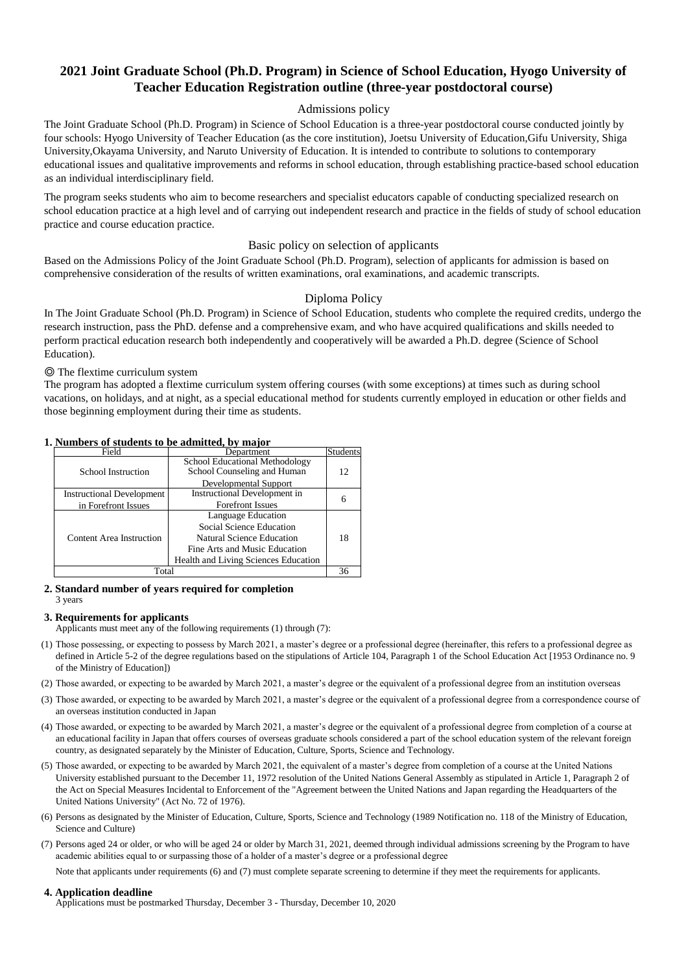#### **1. Numbers of students to be admitted, by major**

#### **2. Standard number of years required for completion** 3 years

#### **3. Requirements for applicants**

Applicants must meet any of the following requirements (1) through (7):

#### **4. Application deadline**

Applications must be postmarked Thursday, December 3 - Thursday, December 10, 2020

## Basic policy on selection of applicants

Based on the Admissions Policy of the Joint Graduate School (Ph.D. Program), selection of applicants for admission is based on comprehensive consideration of the results of written examinations, oral examinations, and academic transcripts.

## Diploma Policy

In The Joint Graduate School (Ph.D. Program) in Science of School Education, students who complete the required credits, undergo the research instruction, pass the PhD. defense and a comprehensive exam, and who have acquired qualifications and skills needed to perform practical education research both independently and cooperatively will be awarded a Ph.D. degree (Science of School Education).

- (1) Those possessing, or expecting to possess by March 2021, a master's degree or a professional degree (hereinafter, this refers to a professional degree as defined in Article 5-2 of the degree regulations based on the stipulations of Article 104, Paragraph 1 of the School Education Act [1953 Ordinance no. 9 of the Ministry of Education])
- (2) Those awarded, or expecting to be awarded by March 2021, a master's degree or the equivalent of a professional degree from an institution overseas
- (3) Those awarded, or expecting to be awarded by March 2021, a master's degree or the equivalent of a professional degree from a correspondence course of an overseas institution conducted in Japan
- (4) Those awarded, or expecting to be awarded by March 2021, a master's degree or the equivalent of a professional degree from completion of a course at an educational facility in Japan that offers courses of overseas graduate schools considered a part of the school education system of the relevant foreign country, as designated separately by the Minister of Education, Culture, Sports, Science and Technology.
- (5) Those awarded, or expecting to be awarded by March 2021, the equivalent of a master's degree from completion of a course at the United Nations University established pursuant to the December 11, 1972 resolution of the United Nations General Assembly as stipulated in Article 1, Paragraph 2 of the Act on Special Measures Incidental to Enforcement of the "Agreement between the United Nations and Japan regarding the Headquarters of the United Nations University" (Act No. 72 of 1976).
- (6) Persons as designated by the Minister of Education, Culture, Sports, Science and Technology (1989 Notification no. 118 of the Ministry of Education, Science and Culture)
- (7) Persons aged 24 or older, or who will be aged 24 or older by March 31, 2021, deemed through individual admissions screening by the Program to have academic abilities equal to or surpassing those of a holder of a master's degree or a professional degree

| Trainbers of statemes to be admitted by major |                                                                      |                 |  |
|-----------------------------------------------|----------------------------------------------------------------------|-----------------|--|
| Field                                         | Department                                                           | <b>Students</b> |  |
| <b>School Instruction</b>                     | <b>School Educational Methodology</b><br>School Counseling and Human | 12              |  |
|                                               | <b>Developmental Support</b>                                         |                 |  |
| <b>Instructional Development</b>              | <b>Instructional Development in</b>                                  | 6               |  |
| in Forefront Issues                           | <b>Forefront Issues</b>                                              |                 |  |
|                                               | Language Education                                                   |                 |  |
|                                               | <b>Social Science Education</b>                                      |                 |  |
| <b>Content Area Instruction</b>               | <b>Natural Science Education</b>                                     | 18              |  |
|                                               | Fine Arts and Music Education                                        |                 |  |
|                                               | <b>Health and Living Sciences Education</b>                          |                 |  |
| Total                                         |                                                                      |                 |  |

The program seeks students who aim to become researchers and specialist educators capable of conducting specialized research on school education practice at a high level and of carrying out independent research and practice in the fields of study of school education practice and course education practice.

The program has adopted a flextime curriculum system offering courses (with some exceptions) at times such as during school vacations, on holidays, and at night, as a special educational method for students currently employed in education or other fields and those beginning employment during their time as students.

## ◎ The flextime curriculum system

Note that applicants under requirements (6) and (7) must complete separate screening to determine if they meet the requirements for applicants.

# **2021 Joint Graduate School (Ph.D. Program) in Science of School Education, Hyogo University of Teacher Education Registration outline (three-year postdoctoral course)**

## Admissions policy

The Joint Graduate School (Ph.D. Program) in Science of School Education is a three-year postdoctoral course conducted jointly by four schools: Hyogo University of Teacher Education (as the core institution), Joetsu University of Education,Gifu University, Shiga University,Okayama University, and Naruto University of Education. It is intended to contribute to solutions to contemporary educational issues and qualitative improvements and reforms in school education, through establishing practice-based school education as an individual interdisciplinary field.